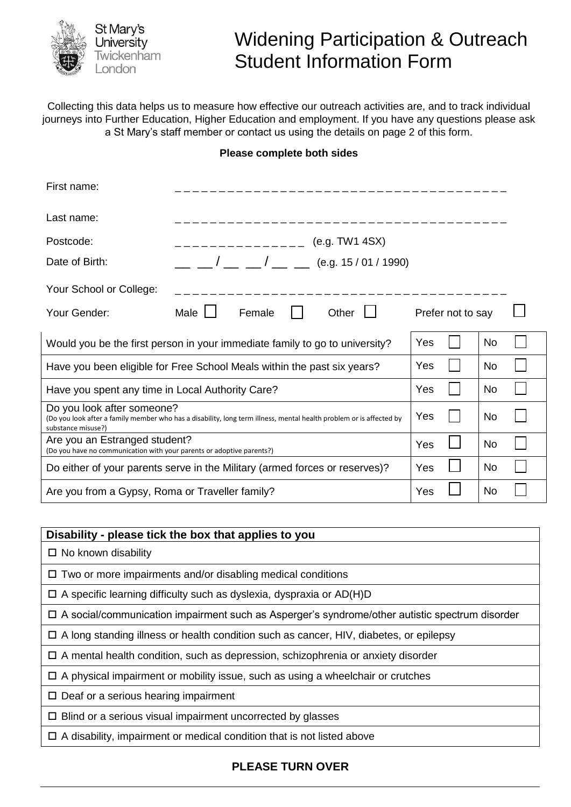

# Widening Participation & Outreach Student Information Form

Collecting this data helps us to measure how effective our outreach activities are, and to track individual journeys into Further Education, Higher Education and employment. If you have any questions please ask a St Mary's staff member or contact us using the details on page 2 of this form.

#### **Please complete both sides**

| First name:                                                                                                                                                             |      |                                                                                         |     |                |           |           |  |  |  |
|-------------------------------------------------------------------------------------------------------------------------------------------------------------------------|------|-----------------------------------------------------------------------------------------|-----|----------------|-----------|-----------|--|--|--|
| Last name:                                                                                                                                                              |      |                                                                                         |     |                |           |           |  |  |  |
| Postcode:                                                                                                                                                               |      | __________                                                                              |     | (e.g. TW1 4SX) |           |           |  |  |  |
| Date of Birth:                                                                                                                                                          |      | $\frac{1}{2}$ $\frac{1}{2}$ $\frac{1}{2}$ $\frac{1}{2}$ $\frac{1}{2}$ (e.g. 15/01/1990) |     |                |           |           |  |  |  |
| Your School or College:                                                                                                                                                 |      |                                                                                         |     |                |           |           |  |  |  |
| Your Gender:                                                                                                                                                            | Male | Other<br>Female<br>Prefer not to say                                                    |     |                |           |           |  |  |  |
| Would you be the first person in your immediate family to go to university?                                                                                             |      |                                                                                         | Yes |                | <b>No</b> |           |  |  |  |
| Have you been eligible for Free School Meals within the past six years?                                                                                                 |      |                                                                                         |     | Yes            |           | No.       |  |  |  |
| Have you spent any time in Local Authority Care?                                                                                                                        |      |                                                                                         |     | Yes            |           | No        |  |  |  |
| Do you look after someone?<br>(Do you look after a family member who has a disability, long term illness, mental health problem or is affected by<br>substance misuse?) |      |                                                                                         |     | Yes            |           | No.       |  |  |  |
| Are you an Estranged student?<br>(Do you have no communication with your parents or adoptive parents?)                                                                  |      |                                                                                         | Yes |                | No        |           |  |  |  |
| Do either of your parents serve in the Military (armed forces or reserves)?                                                                                             |      |                                                                                         |     | Yes            |           | <b>No</b> |  |  |  |
| Are you from a Gypsy, Roma or Traveller family?                                                                                                                         |      |                                                                                         | Yes |                | No        |           |  |  |  |

| Disability - please tick the box that applies to you                                                  |  |  |  |  |
|-------------------------------------------------------------------------------------------------------|--|--|--|--|
| $\Box$ No known disability                                                                            |  |  |  |  |
| $\Box$ Two or more impairments and/or disabling medical conditions                                    |  |  |  |  |
| $\Box$ A specific learning difficulty such as dyslexia, dyspraxia or AD(H)D                           |  |  |  |  |
| $\Box$ A social/communication impairment such as Asperger's syndrome/other autistic spectrum disorder |  |  |  |  |
| $\Box$ A long standing illness or health condition such as cancer, HIV, diabetes, or epilepsy         |  |  |  |  |
| $\Box$ A mental health condition, such as depression, schizophrenia or anxiety disorder               |  |  |  |  |
| $\Box$ A physical impairment or mobility issue, such as using a wheelchair or crutches                |  |  |  |  |
| $\Box$ Deaf or a serious hearing impairment                                                           |  |  |  |  |
| Blind or a serious visual impairment uncorrected by glasses<br>$\Box$                                 |  |  |  |  |
| A disability, impairment or medical condition that is not listed above                                |  |  |  |  |

#### **PLEASE TURN OVER**